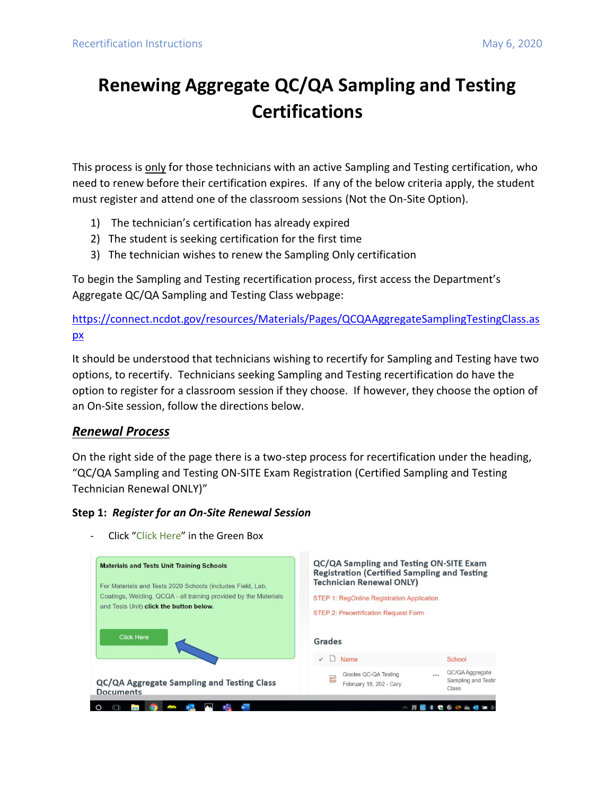## **Renewing Aggregate QC/QA Sampling and Testing Certifications**

This process is only for those technicians with an active Sampling and Testing certification, who need to renew before their certification expires. If any of the below criteria apply, the student must register and attend one of the classroom sessions (Not the On-Site Option).

- 1) The technician's certification has already expired
- 2) The student is seeking certification for the first time
- 3) The technician wishes to renew the Sampling Only certification

To begin the Sampling and Testing recertification process, first access the Department's Aggregate QC/QA Sampling and Testing Class webpage:

[https://connect.ncdot.gov/resources/Materials/Pages/QCQAAggregateSamplingTestingClass.as](https://connect.ncdot.gov/resources/Materials/Pages/QCQAAggregateSamplingTestingClass.aspx) [px](https://connect.ncdot.gov/resources/Materials/Pages/QCQAAggregateSamplingTestingClass.aspx)

It should be understood that technicians wishing to recertify for Sampling and Testing have two options, to recertify. Technicians seeking Sampling and Testing recertification do have the option to register for a classroom session if they choose. If however, they choose the option of an On-Site session, follow the directions below.

## *Renewal Process*

On the right side of the page there is a two-step process for recertification under the heading, "QC/QA Sampling and Testing ON-SITE Exam Registration (Certified Sampling and Testing Technician Renewal ONLY)"

## **Step 1:** *Register for an On-Site Renewal Session*



Click "Click Here" in the Green Box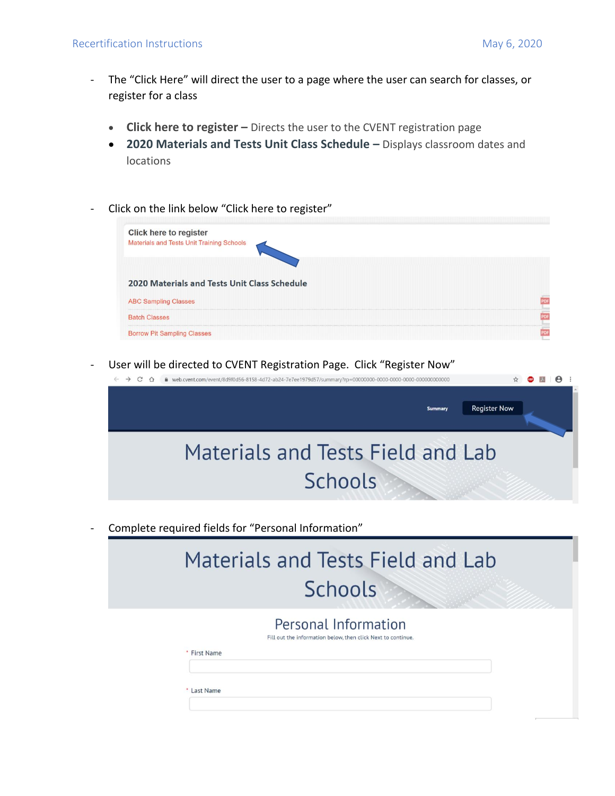- The "Click Here" will direct the user to a page where the user can search for classes, or register for a class
	- **Click here to register** Directs the user to the CVENT registration page
	- **2020 Materials and Tests Unit Class Schedule –** Displays classroom dates and locations
- Click on the link below "Click here to register"



User will be directed to CVENT Registration Page. Click "Register Now"



Complete required fields for "Personal Information"

| <b>Materials and Tests Field and Lab</b><br><b>Schools</b>                                                |  |
|-----------------------------------------------------------------------------------------------------------|--|
|                                                                                                           |  |
| Personal Information<br>Fill out the information below, then click Next to continue.<br><b>First Name</b> |  |
| Last Name                                                                                                 |  |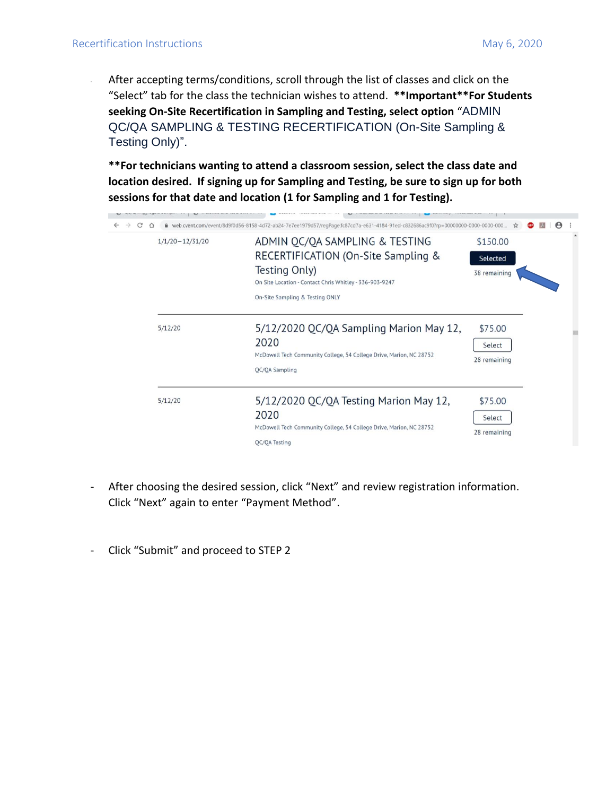- After accepting terms/conditions, scroll through the list of classes and click on the "Select" tab for the class the technician wishes to attend. **\*\*Important\*\*For Students seeking On-Site Recertification in Sampling and Testing, select option** "ADMIN QC/QA SAMPLING & TESTING RECERTIFICATION (On-Site Sampling & Testing Only)".

**\*\*For technicians wanting to attend a classroom session, select the class date and location desired. If signing up for Sampling and Testing, be sure to sign up for both sessions for that date and location (1 for Sampling and 1 for Testing).**

| $1/1/20 - 12/31/20$ | ADMIN QC/QA SAMPLING & TESTING<br>RECERTIFICATION (On-Site Sampling &<br>Testing Only)<br>On Site Location - Contact Chris Whitley - 336-903-9247<br>On-Site Sampling & Testing ONLY | \$150.00<br>Selected<br>38 remaining |  |
|---------------------|--------------------------------------------------------------------------------------------------------------------------------------------------------------------------------------|--------------------------------------|--|
| 5/12/20             | 5/12/2020 QC/QA Sampling Marion May 12,<br>2020<br>McDowell Tech Community College, 54 College Drive, Marion, NC 28752<br>OC/OA Sampling                                             | \$75.00<br>Select<br>28 remaining    |  |
| 5/12/20             | 5/12/2020 QC/QA Testing Marion May 12,<br>2020<br>McDowell Tech Community College, 54 College Drive, Marion, NC 28752<br>OC/OA Testing                                               | \$75.00<br>Select<br>28 remaining    |  |

- After choosing the desired session, click "Next" and review registration information. Click "Next" again to enter "Payment Method".
- Click "Submit" and proceed to STEP 2